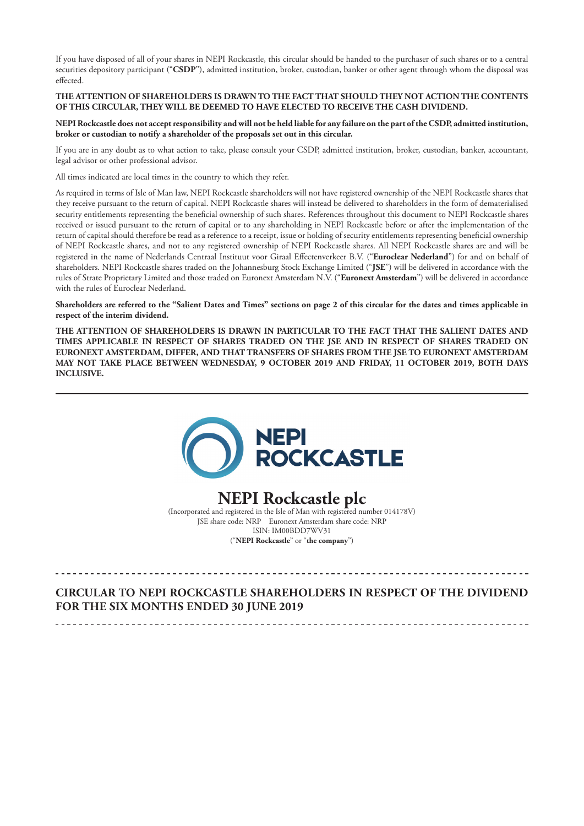If you have disposed of all of your shares in NEPI Rockcastle, this circular should be handed to the purchaser of such shares or to a central securities depository participant ("**CSDP**"), admitted institution, broker, custodian, banker or other agent through whom the disposal was effected.

# **THE ATTENTION OF SHAREHOLDERS IS DRAWN TO THE FACT THAT SHOULD THEY NOT ACTION THE CONTENTS OF THIS CIRCULAR, THEY WILL BE DEEMED TO HAVE ELECTED TO RECEIVE THE CASH DIVIDEND.**

**NEPI Rockcastle does not accept responsibility and will not be held liable for any failure on the part of the CSDP, admitted institution, broker or custodian to notify a shareholder of the proposals set out in this circular.**

If you are in any doubt as to what action to take, please consult your CSDP, admitted institution, broker, custodian, banker, accountant, legal advisor or other professional advisor.

All times indicated are local times in the country to which they refer.

As required in terms of Isle of Man law, NEPI Rockcastle shareholders will not have registered ownership of the NEPI Rockcastle shares that they receive pursuant to the return of capital. NEPI Rockcastle shares will instead be delivered to shareholders in the form of dematerialised security entitlements representing the beneficial ownership of such shares. References throughout this document to NEPI Rockcastle shares received or issued pursuant to the return of capital or to any shareholding in NEPI Rockcastle before or after the implementation of the return of capital should therefore be read as a reference to a receipt, issue or holding of security entitlements representing beneficial ownership of NEPI Rockcastle shares, and not to any registered ownership of NEPI Rockcastle shares. All NEPI Rockcastle shares are and will be registered in the name of Nederlands Centraal Instituut voor Giraal Effectenverkeer B.V. ("**Euroclear Nederland**") for and on behalf of shareholders. NEPI Rockcastle shares traded on the Johannesburg Stock Exchange Limited ("**JSE**") will be delivered in accordance with the rules of Strate Proprietary Limited and those traded on Euronext Amsterdam N.V. ("**Euronext Amsterdam**") will be delivered in accordance with the rules of Euroclear Nederland.

**Shareholders are referred to the "Salient Dates and Times" sections on page 2 of this circular for the dates and times applicable in respect of the interim dividend.**

**THE ATTENTION OF SHAREHOLDERS IS DRAWN IN PARTICULAR TO THE FACT THAT THE SALIENT DATES AND TIMES APPLICABLE IN RESPECT OF SHARES TRADED ON THE JSE AND IN RESPECT OF SHARES TRADED ON EURONEXT AMSTERDAM, DIFFER, AND THAT TRANSFERS OF SHARES FROM THE JSE TO EURONEXT AMSTERDAM MAY NOT TAKE PLACE BETWEEN WEDNESDAY, 9 OCTOBER 2019 AND FRIDAY, 11 OCTOBER 2019, BOTH DAYS INCLUSIVE.**



# **NEPI Rockcastle plc** (Incorporated and registered in the Isle of Man with registered number 014178V)

JSE share code: NRP Euronext Amsterdam share code: NRP ISIN: IM00BDD7WV31 ("**NEPI Rockcastle**" or "**the company**")

# **CIRCULAR TO NEPI ROCKCASTLE SHAREHOLDERS IN RESPECT OF THE DIVIDEND FOR THE SIX MONTHS ENDED 30 JUNE 2019**

\_\_\_\_\_\_\_\_\_\_\_\_\_\_\_\_\_\_\_\_\_\_\_\_\_\_\_\_\_\_\_\_\_\_\_\_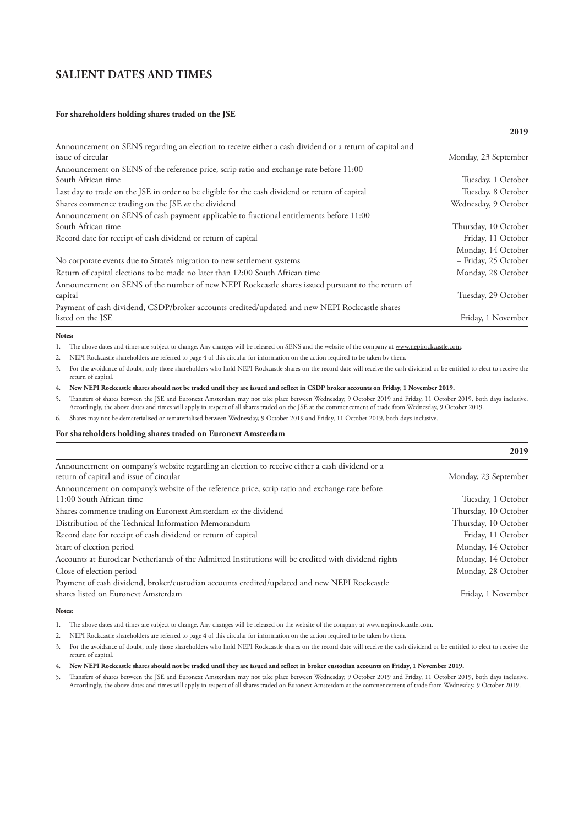# **SALIENT DATES AND TIMES**

<u>. . . . . . . . . . . . . . . . .</u>

#### **For shareholders holding shares traded on the JSE**

|                                                                                                                              | 201/                 |
|------------------------------------------------------------------------------------------------------------------------------|----------------------|
| Announcement on SENS regarding an election to receive either a cash dividend or a return of capital and<br>issue of circular | Monday, 23 September |
| Announcement on SENS of the reference price, scrip ratio and exchange rate before 11:00                                      |                      |
| South African time                                                                                                           | Tuesday, 1 October   |
| Last day to trade on the JSE in order to be eligible for the cash dividend or return of capital                              | Tuesday, 8 October   |
| Shares commence trading on the JSE ex the dividend                                                                           | Wednesday, 9 October |
| Announcement on SENS of cash payment applicable to fractional entitlements before 11:00                                      |                      |
| South African time                                                                                                           | Thursday, 10 October |
| Record date for receipt of cash dividend or return of capital                                                                | Friday, 11 October   |
|                                                                                                                              | Monday, 14 October   |
| No corporate events due to Strate's migration to new settlement systems                                                      | - Friday, 25 October |
| Return of capital elections to be made no later than 12:00 South African time                                                | Monday, 28 October   |
| Announcement on SENS of the number of new NEPI Rockcastle shares issued pursuant to the return of                            |                      |
| capital                                                                                                                      | Tuesday, 29 October  |
| Payment of cash dividend, CSDP/broker accounts credited/updated and new NEPI Rockcastle shares                               |                      |
| listed on the JSE                                                                                                            | Friday, 1 November   |

#### **Notes:**

1. The above dates and times are subject to change. Any changes will be released on SENS and the website of the company at www.nepirockcastle.com.

2. NEPI Rockcastle shareholders are referred to page 4 of this circular for information on the action required to be taken by them.

3. For the avoidance of doubt, only those shareholders who hold NEPI Rockcastle shares on the record date will receive the cash dividend or be entitled to elect to receive the return of capital.

4. **New NEPI Rockcastle shares should not be traded until they are issued and reflect in CSDP broker accounts on Friday, 1 November 2019.**

5. Transfers of shares between the JSE and Euronext Amsterdam may not take place between Wednesday, 9 October 2019 and Friday, 11 October 2019, both days inclusive. Accordingly, the above dates and times will apply in respect of all shares traded on the JSE at the commencement of trade from Wednesday, 9 October 2019.

6. Shares may not be dematerialised or rematerialised between Wednesday, 9 October 2019 and Friday, 11 October 2019, both days inclusive.

#### **For shareholders holding shares traded on Euronext Amsterdam**

|                                                                                                                                           | 2019                 |
|-------------------------------------------------------------------------------------------------------------------------------------------|----------------------|
| Announcement on company's website regarding an election to receive either a cash dividend or a<br>return of capital and issue of circular | Monday, 23 September |
| Announcement on company's website of the reference price, scrip ratio and exchange rate before                                            |                      |
| 11:00 South African time                                                                                                                  | Tuesday, 1 October   |
| Shares commence trading on Euronext Amsterdam ex the dividend                                                                             | Thursday, 10 October |
| Distribution of the Technical Information Memorandum                                                                                      | Thursday, 10 October |
| Record date for receipt of cash dividend or return of capital                                                                             | Friday, 11 October   |
| Start of election period                                                                                                                  | Monday, 14 October   |
| Accounts at Euroclear Netherlands of the Admitted Institutions will be credited with dividend rights                                      | Monday, 14 October   |
| Close of election period                                                                                                                  | Monday, 28 October   |
| Payment of cash dividend, broker/custodian accounts credited/updated and new NEPI Rockcastle                                              |                      |
| shares listed on Euronext Amsterdam                                                                                                       | Friday, 1 November   |

#### **Notes:**

1. The above dates and times are subject to change. Any changes will be released on the website of the company at www.nepirockcastle.com

2. NEPI Rockcastle shareholders are referred to page 4 of this circular for information on the action required to be taken by them.

3. For the avoidance of doubt, only those shareholders who hold NEPI Rockcastle shares on the record date will receive the cash dividend or be entitled to elect to receive the return of capital.

#### 4. **New NEPI Rockcastle shares should not be traded until they are issued and reflect in broker custodian accounts on Friday, 1 November 2019.**

5. Transfers of shares between the JSE and Euronext Amsterdam may not take place between Wednesday, 9 October 2019 and Friday, 11 October 2019, both days inclusive. Accordingly, the above dates and times will apply in respect of all shares traded on Euronext Amsterdam at the commencement of trade from Wednesday, 9 October 2019.

#### **2019**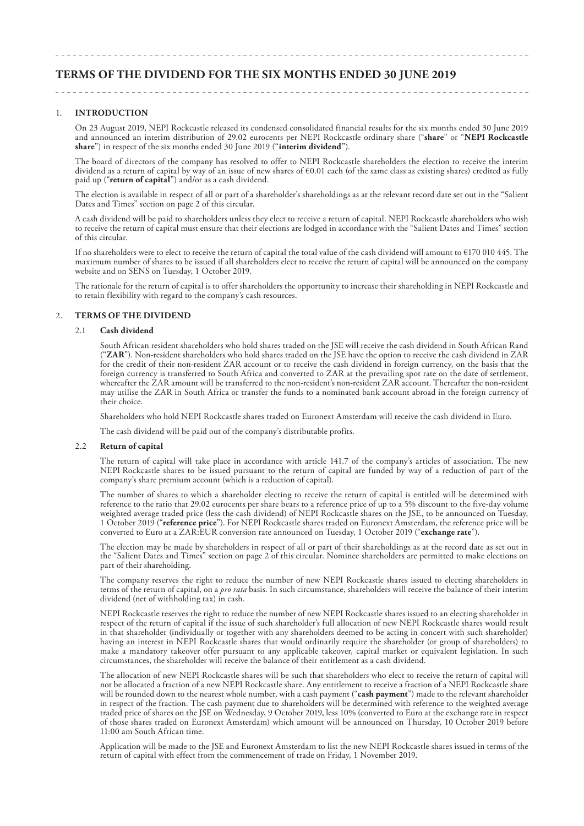# **TERMS OF THE DIVIDEND FOR THE SIX MONTHS ENDED 30 JUNE 2019**

#### 1. **INTRODUCTION**

On 23 August 2019, NEPI Rockcastle released its condensed consolidated financial results for the six months ended 30 June 2019 and announced an interim distribution of 29.02 eurocents per NEPI Rockcastle ordinary share ("**share**" or "**NEPI Rockcastle share**") in respect of the six months ended 30 June 2019 ("**interim dividend**").

The board of directors of the company has resolved to offer to NEPI Rockcastle shareholders the election to receive the interim dividend as a return of capital by way of an issue of new shares of €0.01 each (of the same class as existing shares) credited as fully paid up ("**return of capital**") and/or as a cash dividend.

The election is available in respect of all or part of a shareholder's shareholdings as at the relevant record date set out in the "Salient Dates and Times" section on page 2 of this circular.

A cash dividend will be paid to shareholders unless they elect to receive a return of capital. NEPI Rockcastle shareholders who wish to receive the return of capital must ensure that their elections are lodged in accordance with the "Salient Dates and Times" section of this circular.

If no shareholders were to elect to receive the return of capital the total value of the cash dividend will amount to €170 010 445. The maximum number of shares to be issued if all shareholders elect to receive the return of capital will be announced on the company website and on SENS on Tuesday, 1 October 2019.

The rationale for the return of capital is to offer shareholders the opportunity to increase their shareholding in NEPI Rockcastle and to retain flexibility with regard to the company's cash resources.

#### 2. **TERMS OF THE DIVIDEND**

#### 2.1 **Cash dividend**

South African resident shareholders who hold shares traded on the JSE will receive the cash dividend in South African Rand ("**ZAR**"). Non-resident shareholders who hold shares traded on the JSE have the option to receive the cash dividend in ZAR for the credit of their non-resident ZAR account or to receive the cash dividend in foreign currency, on the basis that the foreign currency is transferred to South Africa and converted to ZAR at the prevailing spot rate on the date of settlement, whereafter the ZAR amount will be transferred to the non-resident's non-resident ZAR account. Thereafter the non-resident may utilise the ZAR in South Africa or transfer the funds to a nominated bank account abroad in the foreign currency of their choice.

Shareholders who hold NEPI Rockcastle shares traded on Euronext Amsterdam will receive the cash dividend in Euro.

The cash dividend will be paid out of the company's distributable profits.

#### 2.2 **Return of capital**

The return of capital will take place in accordance with article 141.7 of the company's articles of association. The new NEPI Rockcastle shares to be issued pursuant to the return of capital are funded by way of a reduction of part of the company's share premium account (which is a reduction of capital).

The number of shares to which a shareholder electing to receive the return of capital is entitled will be determined with reference to the ratio that 29.02 eurocents per share bears to a reference price of up to a 5% discount to the five-day volume weighted average traded price (less the cash dividend) of NEPI Rockcastle shares on the JSE, to be announced on Tuesday, 1 October 2019 ("**reference price**"). For NEPI Rockcastle shares traded on Euronext Amsterdam, the reference price will be converted to Euro at a ZAR:EUR conversion rate announced on Tuesday, 1 October 2019 ("**exchange rate**").

The election may be made by shareholders in respect of all or part of their shareholdings as at the record date as set out in the "Salient Dates and Times" section on page 2 of this circular. Nominee shareholders are permitted to make elections on part of their shareholding.

The company reserves the right to reduce the number of new NEPI Rockcastle shares issued to electing shareholders in terms of the return of capital, on a *pro rata* basis. In such circumstance, shareholders will receive the balance of their interim dividend (net of withholding tax) in cash.

NEPI Rockcastle reserves the right to reduce the number of new NEPI Rockcastle shares issued to an electing shareholder in respect of the return of capital if the issue of such shareholder's full allocation of new NEPI Rockcastle shares would result in that shareholder (individually or together with any shareholders deemed to be acting in concert with such shareholder) having an interest in NEPI Rockcastle shares that would ordinarily require the shareholder (or group of shareholders) to make a mandatory takeover offer pursuant to any applicable takeover, capital market or equivalent legislation. In such circumstances, the shareholder will receive the balance of their entitlement as a cash dividend.

The allocation of new NEPI Rockcastle shares will be such that shareholders who elect to receive the return of capital will not be allocated a fraction of a new NEPI Rockcastle share. Any entitlement to receive a fraction of a NEPI Rockcastle share will be rounded down to the nearest whole number, with a cash payment ("**cash payment**") made to the relevant shareholder in respect of the fraction. The cash payment due to shareholders will be determined with reference to the weighted average traded price of shares on the JSE on Wednesday, 9 October 2019, less 10% (converted to Euro at the exchange rate in respect of those shares traded on Euronext Amsterdam) which amount will be announced on Thursday, 10 October 2019 before 11:00 am South African time.

Application will be made to the JSE and Euronext Amsterdam to list the new NEPI Rockcastle shares issued in terms of the return of capital with effect from the commencement of trade on Friday, 1 November 2019.